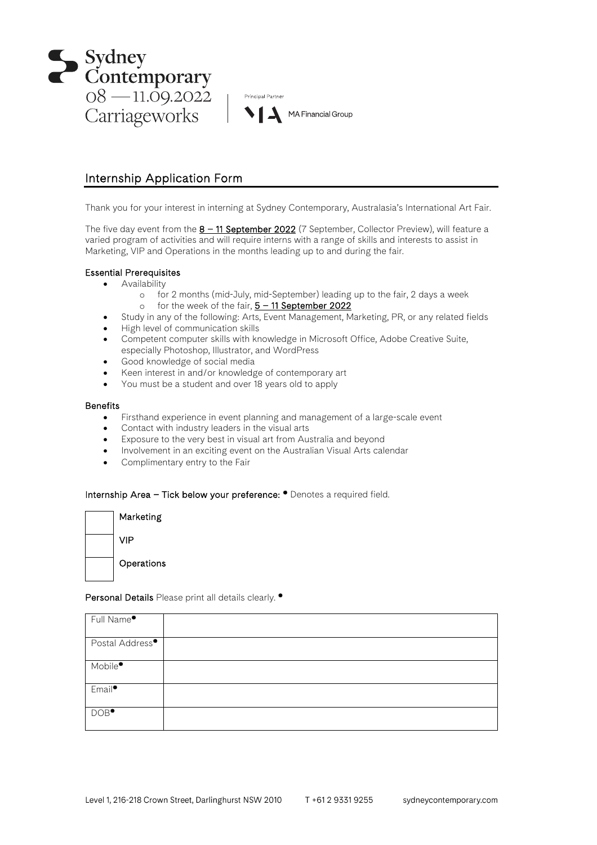



# Internship Application Form

Thank you for your interest in interning at Sydney Contemporary, Australasia's International Art Fair.

The five day event from the  $8 - 11$  September 2022 (7 September, Collector Preview), will feature a varied program of activities and will require interns with a range of skills and interests to assist in Marketing, VIP and Operations in the months leading up to and during the fair.

## Essential Prerequisites

- Availability
	- o for 2 months (mid-July, mid-September) leading up to the fair, 2 days a week
	- o for the week of the fair,  $5 11$  September 2022
- Study in any of the following: Arts, Event Management, Marketing, PR, or any related fields
- High level of communication skills
- Competent computer skills with knowledge in Microsoft Office, Adobe Creative Suite, especially Photoshop, Illustrator, and WordPress
- Good knowledge of social media
- Keen interest in and/or knowledge of contemporary art
- You must be a student and over 18 years old to apply

#### **Benefits**

- Firsthand experience in event planning and management of a large-scale event
- Contact with industry leaders in the visual arts
- Exposure to the very best in visual art from Australia and beyond
- Involvement in an exciting event on the Australian Visual Arts calendar
- Complimentary entry to the Fair

#### Internship Area – Tick below your preference: \* Denotes a required field.

| Marketing  |
|------------|
| VIP        |
| Operations |

## Personal Details Please print all details clearly. \*

| Full Name*                  |  |
|-----------------------------|--|
|                             |  |
| Postal Address <sup>*</sup> |  |
|                             |  |
| Mobile <sup>*</sup>         |  |
| Email <sup>*</sup>          |  |
| DOB <sup>*</sup>            |  |